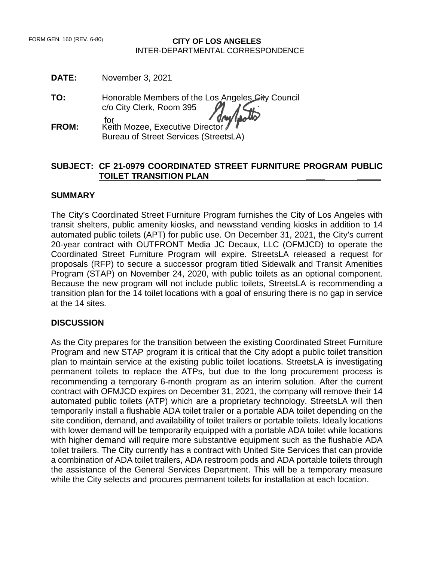## **CITY OF LOS ANGELES** INTER-DEPARTMENTAL CORRESPONDENCE

**DATE:** November 3, 2021

**TO:** Honorable Members of the Los Angeles City Council c/o City Clerk, Room 395 for

**FROM:** Keith Mozee, Executive Director Bureau of Street Services (StreetsLA)

## **SUBJECT: CF 21-0979 COORDINATED STREET FURNITURE PROGRAM PUBLIC TOILET TRANSITION PLAN \_\_\_\_ \_\_\_\_\_**

#### **SUMMARY**

The City's Coordinated Street Furniture Program furnishes the City of Los Angeles with transit shelters, public amenity kiosks, and newsstand vending kiosks in addition to 14 automated public toilets (APT) for public use. On December 31, 2021, the City's current 20-year contract with OUTFRONT Media JC Decaux, LLC (OFMJCD) to operate the Coordinated Street Furniture Program will expire. StreetsLA released a request for proposals (RFP) to secure a successor program titled Sidewalk and Transit Amenities Program (STAP) on November 24, 2020, with public toilets as an optional component. Because the new program will not include public toilets, StreetsLA is recommending a transition plan for the 14 toilet locations with a goal of ensuring there is no gap in service at the 14 sites.

#### **DISCUSSION**

As the City prepares for the transition between the existing Coordinated Street Furniture Program and new STAP program it is critical that the City adopt a public toilet transition plan to maintain service at the existing public toilet locations. StreetsLA is investigating permanent toilets to replace the ATPs, but due to the long procurement process is recommending a temporary 6-month program as an interim solution. After the current contract with OFMJCD expires on December 31, 2021, the company will remove their 14 automated public toilets (ATP) which are a proprietary technology. StreetsLA will then temporarily install a flushable ADA toilet trailer or a portable ADA toilet depending on the site condition, demand, and availability of toilet trailers or portable toilets. Ideally locations with lower demand will be temporarily equipped with a portable ADA toilet while locations with higher demand will require more substantive equipment such as the flushable ADA toilet trailers. The City currently has a contract with United Site Services that can provide a combination of ADA toilet trailers, ADA restroom pods and ADA portable toilets through the assistance of the General Services Department. This will be a temporary measure while the City selects and procures permanent toilets for installation at each location.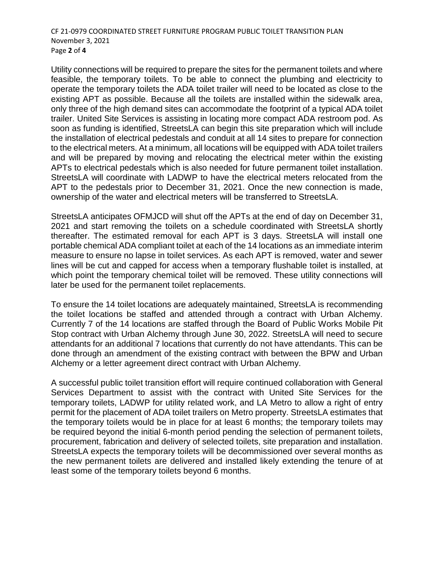CF 21-0979 COORDINATED STREET FURNITURE PROGRAM PUBLIC TOILET TRANSITION PLAN November 3, 2021 Page **2** of **4**

Utility connections will be required to prepare the sites for the permanent toilets and where feasible, the temporary toilets. To be able to connect the plumbing and electricity to operate the temporary toilets the ADA toilet trailer will need to be located as close to the existing APT as possible. Because all the toilets are installed within the sidewalk area, only three of the high demand sites can accommodate the footprint of a typical ADA toilet trailer. United Site Services is assisting in locating more compact ADA restroom pod. As soon as funding is identified, StreetsLA can begin this site preparation which will include the installation of electrical pedestals and conduit at all 14 sites to prepare for connection to the electrical meters. At a minimum, all locations will be equipped with ADA toilet trailers and will be prepared by moving and relocating the electrical meter within the existing APTs to electrical pedestals which is also needed for future permanent toilet installation. StreetsLA will coordinate with LADWP to have the electrical meters relocated from the APT to the pedestals prior to December 31, 2021. Once the new connection is made, ownership of the water and electrical meters will be transferred to StreetsLA.

StreetsLA anticipates OFMJCD will shut off the APTs at the end of day on December 31, 2021 and start removing the toilets on a schedule coordinated with StreetsLA shortly thereafter. The estimated removal for each APT is 3 days. StreetsLA will install one portable chemical ADA compliant toilet at each of the 14 locations as an immediate interim measure to ensure no lapse in toilet services. As each APT is removed, water and sewer lines will be cut and capped for access when a temporary flushable toilet is installed, at which point the temporary chemical toilet will be removed. These utility connections will later be used for the permanent toilet replacements.

To ensure the 14 toilet locations are adequately maintained, StreetsLA is recommending the toilet locations be staffed and attended through a contract with Urban Alchemy. Currently 7 of the 14 locations are staffed through the Board of Public Works Mobile Pit Stop contract with Urban Alchemy through June 30, 2022. StreetsLA will need to secure attendants for an additional 7 locations that currently do not have attendants. This can be done through an amendment of the existing contract with between the BPW and Urban Alchemy or a letter agreement direct contract with Urban Alchemy.

A successful public toilet transition effort will require continued collaboration with General Services Department to assist with the contract with United Site Services for the temporary toilets, LADWP for utility related work, and LA Metro to allow a right of entry permit for the placement of ADA toilet trailers on Metro property. StreetsLA estimates that the temporary toilets would be in place for at least 6 months; the temporary toilets may be required beyond the initial 6-month period pending the selection of permanent toilets, procurement, fabrication and delivery of selected toilets, site preparation and installation. StreetsLA expects the temporary toilets will be decommissioned over several months as the new permanent toilets are delivered and installed likely extending the tenure of at least some of the temporary toilets beyond 6 months.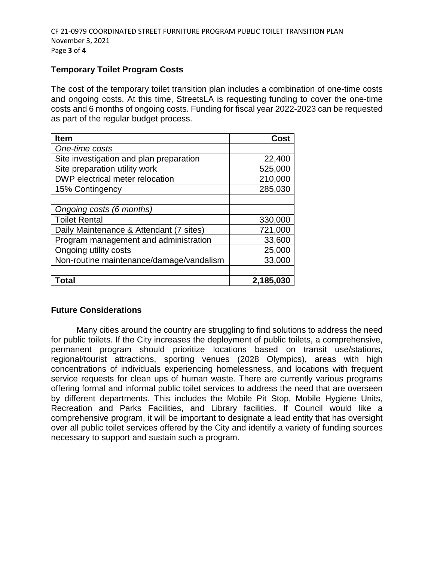# **Temporary Toilet Program Costs**

The cost of the temporary toilet transition plan includes a combination of one-time costs and ongoing costs. At this time, StreetsLA is requesting funding to cover the one-time costs and 6 months of ongoing costs. Funding for fiscal year 2022-2023 can be requested as part of the regular budget process.

| <b>Item</b>                              | Cost      |
|------------------------------------------|-----------|
| One-time costs                           |           |
| Site investigation and plan preparation  | 22,400    |
| Site preparation utility work            | 525,000   |
| DWP electrical meter relocation          | 210,000   |
| 15% Contingency                          | 285,030   |
|                                          |           |
| Ongoing costs (6 months)                 |           |
| <b>Toilet Rental</b>                     | 330,000   |
| Daily Maintenance & Attendant (7 sites)  | 721,000   |
| Program management and administration    | 33,600    |
| Ongoing utility costs                    | 25,000    |
| Non-routine maintenance/damage/vandalism | 33,000    |
|                                          |           |
| Total                                    | 2,185,030 |

# **Future Considerations**

Many cities around the country are struggling to find solutions to address the need for public toilets. If the City increases the deployment of public toilets, a comprehensive, permanent program should prioritize locations based on transit use/stations, regional/tourist attractions, sporting venues (2028 Olympics), areas with high concentrations of individuals experiencing homelessness, and locations with frequent service requests for clean ups of human waste. There are currently various programs offering formal and informal public toilet services to address the need that are overseen by different departments. This includes the Mobile Pit Stop, Mobile Hygiene Units, Recreation and Parks Facilities, and Library facilities. If Council would like a comprehensive program, it will be important to designate a lead entity that has oversight over all public toilet services offered by the City and identify a variety of funding sources necessary to support and sustain such a program.